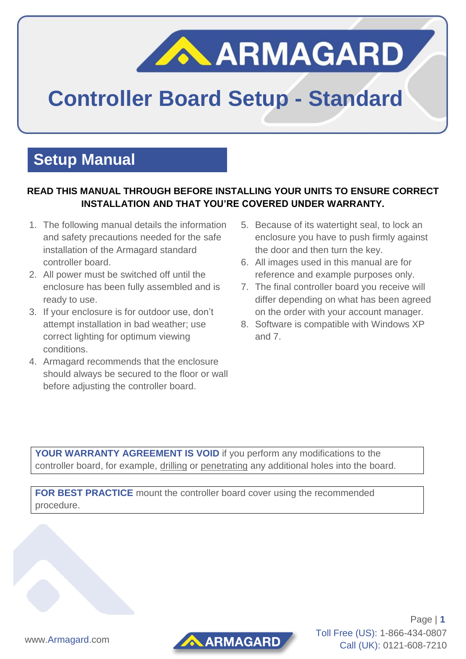# **ARMAGARD**

## **Controller Board Setup - Standard**

### **Setup Manual**

#### **READ THIS MANUAL THROUGH BEFORE INSTALLING YOUR UNITS TO ENSURE CORRECT INSTALLATION AND THAT YOU'RE COVERED UNDER WARRANTY.**

- 1. The following manual details the information and safety precautions needed for the safe installation of the Armagard standard controller board.
- 2. All power must be switched off until the enclosure has been fully assembled and is ready to use.
- 3. If your enclosure is for outdoor use, don't attempt installation in bad weather; use correct lighting for optimum viewing conditions.
- 4. Armagard recommends that the enclosure should always be secured to the floor or wall before adjusting the controller board.
- 5. Because of its watertight seal, to lock an enclosure you have to push firmly against the door and then turn the key.
- 6. All images used in this manual are for reference and example purposes only.
- 7. The final controller board you receive will differ depending on what has been agreed on the order with your account manager.
- 8. Software is compatible with Windows XP and 7.

**YOUR WARRANTY AGREEMENT IS VOID** if you perform any modifications to the controller board, for example, drilling or penetrating any additional holes into the board.

**FOR BEST PRACTICE** mount the controller board cover using the recommended procedure.



Page | **1** Toll Free (US): 1-866-434-0807 Call (UK): 0121-608-7210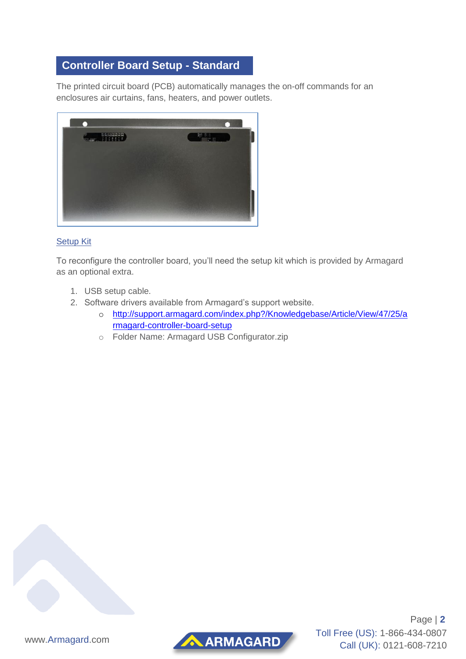#### **Controller Board Setup - Standard**

The printed circuit board (PCB) automatically manages the on-off commands for an enclosures air curtains, fans, heaters, and power outlets.



#### Setup Kit

To reconfigure the controller board, you'll need the setup kit which is provided by Armagard as an optional extra.

- 1. USB setup cable.
- 2. Software drivers available from Armagard's support website.
	- o [http://support.armagard.com/index.php?/Knowledgebase/Article/View/47/25/a](http://support.armagard.com/index.php?/Knowledgebase/Article/View/47/25/armagard-controller-board-setup) [rmagard-controller-board-setup](http://support.armagard.com/index.php?/Knowledgebase/Article/View/47/25/armagard-controller-board-setup)
	- o Folder Name: Armagard USB Configurator.zip





Page | **2** Toll Free (US): 1-866-434-0807 Call (UK): 0121-608-7210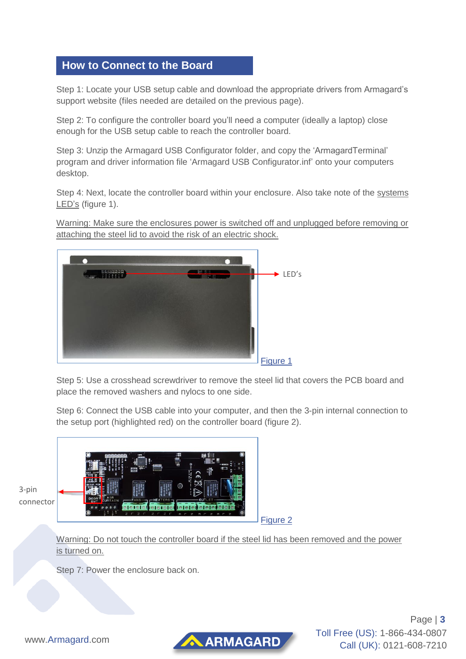#### **How to Connect to the Board**

Step 1: Locate your USB setup cable and download the appropriate drivers from Armagard's support website (files needed are detailed on the previous page).

Step 2: To configure the controller board you'll need a computer (ideally a laptop) close enough for the USB setup cable to reach the controller board.

Step 3: Unzip the Armagard USB Configurator folder, and copy the 'ArmagardTerminal' program and driver information file 'Armagard USB Configurator.inf' onto your computers desktop.

Step 4: Next, locate the controller board within your enclosure. Also take note of the systems LED's (figure 1).

Warning: Make sure the enclosures power is switched off and unplugged before removing or attaching the steel lid to avoid the risk of an electric shock.



Step 5: Use a crosshead screwdriver to remove the steel lid that covers the PCB board and place the removed washers and nylocs to one side.

Step 6: Connect the USB cable into your computer, and then the 3-pin internal connection to the setup port (highlighted red) on the controller board (figure 2).



Warning: Do not touch the controller board if the steel lid has been removed and the power is turned on.

Step 7: Power the enclosure back on.

AARMAGARD

Page | **3** Toll Free (US): 1-866-434-0807 Call (UK): 0121-608-7210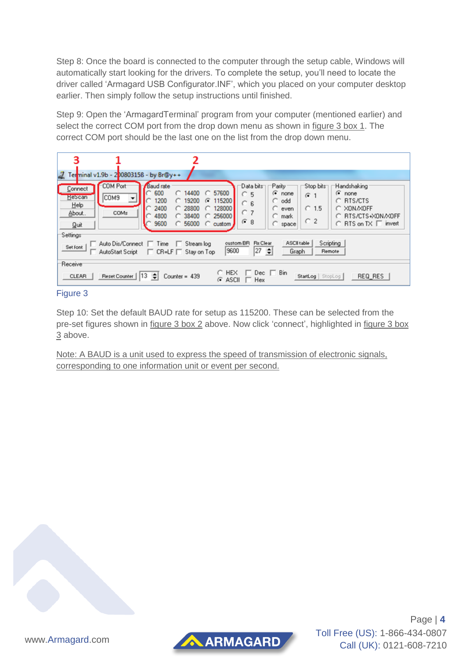Step 8: Once the board is connected to the computer through the setup cable, Windows will automatically start looking for the drivers. To complete the setup, you'll need to locate the driver called 'Armagard USB Configurator.INF', which you placed on your computer desktop earlier. Then simply follow the setup instructions until finished.

Step 9: Open the 'ArmagardTerminal' program from your computer (mentioned earlier) and select the correct COM port from the drop down menu as shown in figure 3 box 1. The correct COM port should be the last one on the list from the drop down menu.

| 3<br>aZ,                                                                                                                                                                                                                                                                                                                                                                            | Ter <mark>minal v1.9b - 2</mark> 00803158 - by Br@y++ |                                                                                                                                                                                     |                                                                                                                                        |                                                 |                                                                                                 |
|-------------------------------------------------------------------------------------------------------------------------------------------------------------------------------------------------------------------------------------------------------------------------------------------------------------------------------------------------------------------------------------|-------------------------------------------------------|-------------------------------------------------------------------------------------------------------------------------------------------------------------------------------------|----------------------------------------------------------------------------------------------------------------------------------------|-------------------------------------------------|-------------------------------------------------------------------------------------------------|
| Connect<br><b>Hescan</b><br>Help<br>About.<br>Quit<br>Settings                                                                                                                                                                                                                                                                                                                      | <b>COM Port</b><br>COM9<br>≛<br>COM <sub>s</sub>      | <b>Baud</b> rate<br>57600<br>600<br>14400<br>C.<br>o<br>1200<br>115200<br>19200<br>n.<br>☞<br>2400<br>128000<br>28800<br>4800<br>256000<br>38400<br>9600<br>56000<br>C custom<br>C. | Data bits<br>Parity<br>$\epsilon$ none<br>C.<br>5<br>$\cap$ odd<br>n.<br>6<br>$\Gamma$ even<br>C 7<br>C.<br>mark<br>G8<br>$\cap$ space | Stop bits<br>$G$ 1<br>$C$ 1.5<br>C <sub>2</sub> | Handshaking<br>☞<br>none<br>C RTS/CTS<br>C XON/XOFF<br>RTS/CTS+X0N/X0FF<br>C RTS on TX □ invert |
| Scripting<br>ASCII table<br>custom BR<br><b>Rx</b> Clear<br>Auto Dis/Connect<br>$\Box$ Time<br>Stream log<br>Set font<br>27<br>9600<br>٠<br>Graph<br>Remote<br>$CR = LF$<br><b>AutoStart Script</b><br>Stay on Top<br>п.<br>Receive<br><b>HEX</b><br>Bin<br>Dec.<br>Reset Counter   13 ↔<br>StartLog   StopLog  <br><b>CLEAR</b><br>Counter = $439$<br>REQ RES<br>ASCII<br>☞<br>Hex |                                                       |                                                                                                                                                                                     |                                                                                                                                        |                                                 |                                                                                                 |

#### Figure 3

Step 10: Set the default BAUD rate for setup as 115200. These can be selected from the pre-set figures shown in figure 3 box 2 above. Now click 'connect', highlighted in figure 3 box 3 above.

Note: A BAUD is a unit used to express the speed of transmission of electronic signals, corresponding to one information unit or event per second.





Page | **4** Toll Free (US): 1-866-434-0807 Call (UK): 0121-608-7210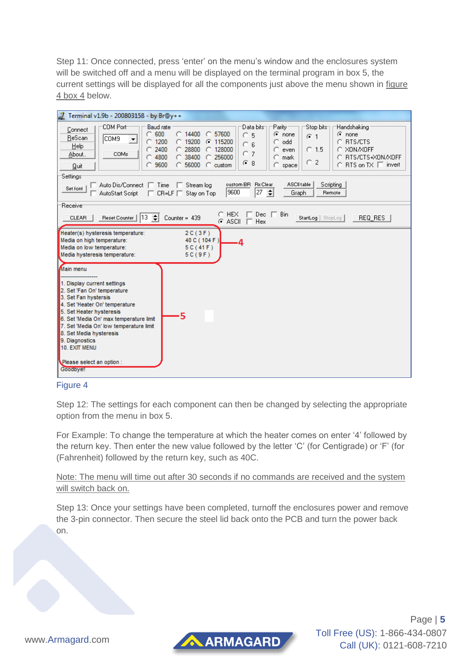Step 11: Once connected, press 'enter' on the menu's window and the enclosures system will be switched off and a menu will be displayed on the terminal program in box 5, the current settings will be displayed for all the components just above the menu shown in figure 4 box 4 below.

| Forminal v1.9b - 200803158 - by Br@y++                                                                                                                                                                                                                                                                                                                                                                                                                                                                                                                                                                              |  |  |  |  |  |
|---------------------------------------------------------------------------------------------------------------------------------------------------------------------------------------------------------------------------------------------------------------------------------------------------------------------------------------------------------------------------------------------------------------------------------------------------------------------------------------------------------------------------------------------------------------------------------------------------------------------|--|--|--|--|--|
| <b>COM Port</b><br><b>Baud</b> rate<br>Data bits<br>'Parity'<br>Stop bits⊤<br>Handshaking<br>Connect<br>$\degree$ 600<br>14400<br>57600<br>$\odot$ none<br>$\odot$ none<br>C<br>$\overline{5}$<br>O.<br>$G - 1$<br>ReScan<br>COM9<br>▼<br>1200<br>115200<br><b>RTS/CTS</b><br>19200<br>G<br>odd<br>n<br>6<br>C<br>Help<br>2400<br>X0N/X0FF<br>28800<br>128000<br>$C$ 1.5<br>O.<br>O<br>even<br>$\overline{7}$<br>O<br>COMs<br>About<br>$C$ 4800<br>RTS/CTS+XON/XOFF<br>38400<br>256000<br>mark<br>O<br>$\subset$ 2<br>G8<br>9600<br>$RTS$ on $TX$ $\Box$ invert<br>C.<br>56000<br>$\degree$ custom<br>space<br>Quit |  |  |  |  |  |
| Settings<br>custom BR<br><b>Rx</b> Clear<br>ASCII table                                                                                                                                                                                                                                                                                                                                                                                                                                                                                                                                                             |  |  |  |  |  |
| Scripting<br>Auto Dis/Connect □ Time □ Stream log<br>Set font<br>27 호<br>9600<br>Graph<br>AutoStart Script<br>$\Box$ CR=LF $\Box$ Stay on Top<br>Remote                                                                                                                                                                                                                                                                                                                                                                                                                                                             |  |  |  |  |  |
| Receive                                                                                                                                                                                                                                                                                                                                                                                                                                                                                                                                                                                                             |  |  |  |  |  |
| $\Box$ Dec $\Box$ Bin<br>$\subset$ HEX<br>Reset Counter   13<br>Counter = $439$<br>StartLog   StopLog  <br><b>CLEAR</b><br>$REG$ RES $ $<br>$G$ ASCII $\Box$ Hex                                                                                                                                                                                                                                                                                                                                                                                                                                                    |  |  |  |  |  |
| Heater(s) hysteresis temperature:<br>2C(3F)<br>Media on high temperature:<br>40 C (104 F)<br>۰Δ<br>Media on low temperature:<br>5C(41F)<br>Media hysteresis temperature:<br>5C(9F)                                                                                                                                                                                                                                                                                                                                                                                                                                  |  |  |  |  |  |
| Main menu                                                                                                                                                                                                                                                                                                                                                                                                                                                                                                                                                                                                           |  |  |  |  |  |
| 1. Display current settings<br>2. Set 'Fan On' temperature<br>3. Set Fan hystersis<br>4. Set 'Heater On' temperature<br>5. Set Heater hysteresis<br>5<br>6. Set 'Media On' max temperature limit<br>7. Set 'Media On' low temperature limit<br>8. Set Media hysteresis<br>9. Diagnostics                                                                                                                                                                                                                                                                                                                            |  |  |  |  |  |
| 10. EXIT MENU<br>Please select an option :<br><b>Goodbye!</b>                                                                                                                                                                                                                                                                                                                                                                                                                                                                                                                                                       |  |  |  |  |  |
|                                                                                                                                                                                                                                                                                                                                                                                                                                                                                                                                                                                                                     |  |  |  |  |  |



Step 12: The settings for each component can then be changed by selecting the appropriate option from the menu in box 5.

For Example: To change the temperature at which the heater comes on enter '4' followed by the return key. Then enter the new value followed by the letter 'C' (for Centigrade) or 'F' (for (Fahrenheit) followed by the return key, such as 40C.

Note: The menu will time out after 30 seconds if no commands are received and the system will switch back on.

Step 13: Once your settings have been completed, turnoff the enclosures power and remove the 3-pin connector. Then secure the steel lid back onto the PCB and turn the power back on.



Page | **5** Toll Free (US): 1-866-434-0807 Call (UK): 0121-608-7210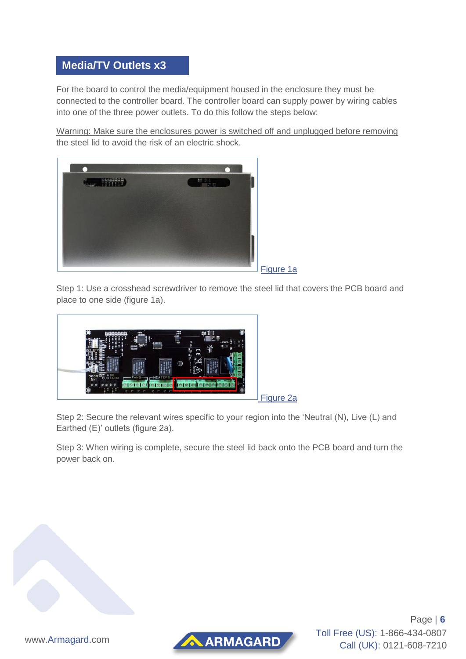#### **Media/TV Outlets x3**

For the board to control the media/equipment housed in the enclosure they must be connected to the controller board. The controller board can supply power by wiring cables into one of the three power outlets. To do this follow the steps below:

Warning: Make sure the enclosures power is switched off and unplugged before removing the steel lid to avoid the risk of an electric shock.



Figure 1a

Step 1: Use a crosshead screwdriver to remove the steel lid that covers the PCB board and place to one side (figure 1a).



Figure 2a

Step 2: Secure the relevant wires specific to your region into the 'Neutral (N), Live (L) and Earthed (E)' outlets (figure 2a).

Step 3: When wiring is complete, secure the steel lid back onto the PCB board and turn the power back on.





Page | **6** Toll Free (US): 1-866-434-0807 Call (UK): 0121-608-7210